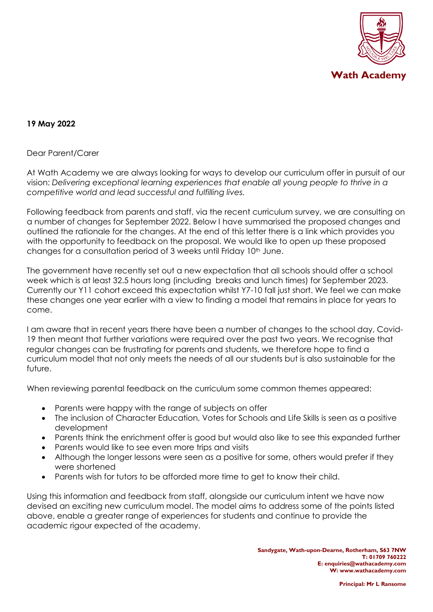

## **19 May 2022**

#### Dear Parent/Carer

At Wath Academy we are always looking for ways to develop our curriculum offer in pursuit of our vision: *Delivering exceptional learning experiences that enable all young people to thrive in a competitive world and lead successful and fulfilling lives.*

Following feedback from parents and staff, via the recent curriculum survey, we are consulting on a number of changes for September 2022. Below I have summarised the proposed changes and outlined the rationale for the changes. At the end of this letter there is a link which provides you with the opportunity to feedback on the proposal. We would like to open up these proposed changes for a consultation period of 3 weeks until Friday 10<sup>th</sup> June.

The government have recently set out a new expectation that all schools should offer a school week which is at least 32.5 hours long (including breaks and lunch times) for September 2023. Currently our Y11 cohort exceed this expectation whilst Y7-10 fall just short. We feel we can make these changes one year earlier with a view to finding a model that remains in place for years to come.

I am aware that in recent years there have been a number of changes to the school day, Covid-19 then meant that further variations were required over the past two years. We recognise that regular changes can be frustrating for parents and students, we therefore hope to find a curriculum model that not only meets the needs of all our students but is also sustainable for the future.

When reviewing parental feedback on the curriculum some common themes appeared:

- Parents were happy with the range of subjects on offer
- The inclusion of Character Education, Votes for Schools and Life Skills is seen as a positive development
- Parents think the enrichment offer is good but would also like to see this expanded further
- Parents would like to see even more trips and visits
- Although the longer lessons were seen as a positive for some, others would prefer if they were shortened
- Parents wish for tutors to be afforded more time to get to know their child.

Using this information and feedback from staff, alongside our curriculum intent we have now devised an exciting new curriculum model. The model aims to address some of the points listed above, enable a greater range of experiences for students and continue to provide the academic rigour expected of the academy.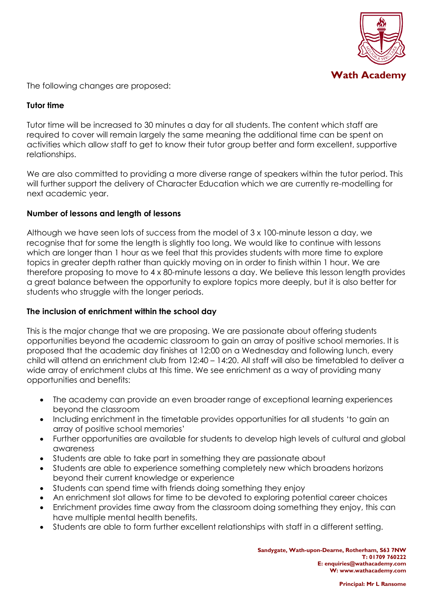

The following changes are proposed:

### **Tutor time**

Tutor time will be increased to 30 minutes a day for all students. The content which staff are required to cover will remain largely the same meaning the additional time can be spent on activities which allow staff to get to know their tutor group better and form excellent, supportive relationships.

We are also committed to providing a more diverse range of speakers within the tutor period. This will further support the delivery of Character Education which we are currently re-modelling for next academic year.

## **Number of lessons and length of lessons**

Although we have seen lots of success from the model of 3 x 100-minute lesson a day, we recognise that for some the length is slightly too long. We would like to continue with lessons which are longer than 1 hour as we feel that this provides students with more time to explore topics in greater depth rather than quickly moving on in order to finish within 1 hour. We are therefore proposing to move to 4 x 80-minute lessons a day. We believe this lesson length provides a great balance between the opportunity to explore topics more deeply, but it is also better for students who struggle with the longer periods.

### **The inclusion of enrichment within the school day**

This is the major change that we are proposing. We are passionate about offering students opportunities beyond the academic classroom to gain an array of positive school memories. It is proposed that the academic day finishes at 12:00 on a Wednesday and following lunch, every child will attend an enrichment club from 12:40 – 14:20. All staff will also be timetabled to deliver a wide array of enrichment clubs at this time. We see enrichment as a way of providing many opportunities and benefits:

- The academy can provide an even broader range of exceptional learning experiences beyond the classroom
- Including enrichment in the timetable provides opportunities for all students 'to gain an array of positive school memories'
- Further opportunities are available for students to develop high levels of cultural and global awareness
- Students are able to take part in something they are passionate about
- Students are able to experience something completely new which broadens horizons beyond their current knowledge or experience
- Students can spend time with friends doing something they enjoy
- An enrichment slot allows for time to be devoted to exploring potential career choices
- Enrichment provides time away from the classroom doing something they enjoy, this can have multiple mental health benefits.
- Students are able to form further excellent relationships with staff in a different setting.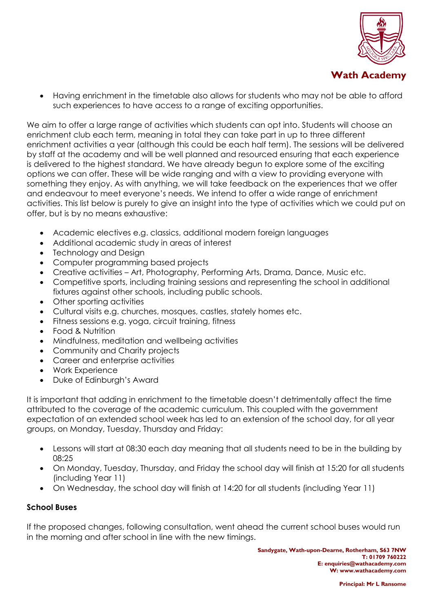

• Having enrichment in the timetable also allows for students who may not be able to afford such experiences to have access to a range of exciting opportunities.

We aim to offer a large range of activities which students can opt into. Students will choose an enrichment club each term, meaning in total they can take part in up to three different enrichment activities a year (although this could be each half term). The sessions will be delivered by staff at the academy and will be well planned and resourced ensuring that each experience is delivered to the highest standard. We have already begun to explore some of the exciting options we can offer. These will be wide ranging and with a view to providing everyone with something they enjoy. As with anything, we will take feedback on the experiences that we offer and endeavour to meet everyone's needs. We intend to offer a wide range of enrichment activities. This list below is purely to give an insight into the type of activities which we could put on offer, but is by no means exhaustive:

- Academic electives e.g. classics, additional modern foreign languages
- Additional academic study in areas of interest
- Technology and Design
- Computer programming based projects
- Creative activities Art, Photography, Performing Arts, Drama, Dance, Music etc.
- Competitive sports, including training sessions and representing the school in additional fixtures against other schools, including public schools.
- Other sporting activities
- Cultural visits e.g. churches, mosques, castles, stately homes etc.
- Fitness sessions e.g. yoga, circuit training, fitness
- Food & Nutrition
- Mindfulness, meditation and wellbeing activities
- Community and Charity projects
- Career and enterprise activities
- Work Experience
- Duke of Edinburgh's Award

It is important that adding in enrichment to the timetable doesn't detrimentally affect the time attributed to the coverage of the academic curriculum. This coupled with the government expectation of an extended school week has led to an extension of the school day, for all year groups, on Monday, Tuesday, Thursday and Friday:

- Lessons will start at 08:30 each day meaning that all students need to be in the building by 08:25
- On Monday, Tuesday, Thursday, and Friday the school day will finish at 15:20 for all students (including Year 11)
- On Wednesday, the school day will finish at 14:20 for all students (including Year 11)

# **School Buses**

If the proposed changes, following consultation, went ahead the current school buses would run in the morning and after school in line with the new timings.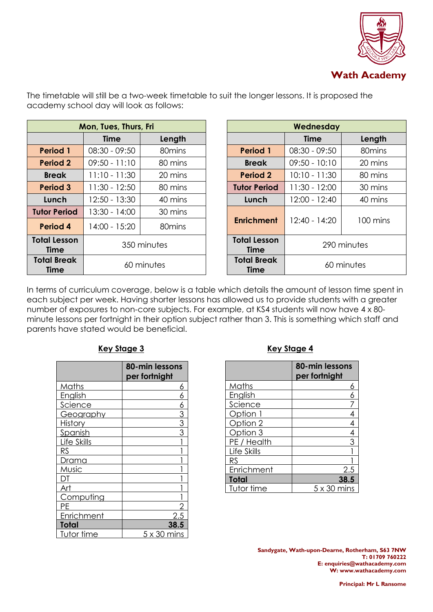

| Mon, Tues, Thurs, Fri             |                 |                    |                                   | Wednesday       |
|-----------------------------------|-----------------|--------------------|-----------------------------------|-----------------|
|                                   | Time            | Length             |                                   | <b>Time</b>     |
| <b>Period 1</b>                   | $08:30 - 09:50$ | 80 <sub>mins</sub> | <b>Period 1</b>                   | $08:30 - 09:50$ |
| <b>Period 2</b>                   | $09:50 - 11:10$ | 80 mins            | <b>Break</b>                      | $09:50 - 10:10$ |
| <b>Break</b>                      | $11:10 - 11:30$ | 20 mins            | <b>Period 2</b>                   | $10:10 - 11:30$ |
| <b>Period 3</b>                   | $11:30 - 12:50$ | 80 mins            | <b>Tutor Period</b>               | $11:30 - 12:00$ |
| Lunch                             | 12:50 - 13:30   | 40 mins            | Lunch                             | 12:00 - 12:40   |
| <b>Tutor Period</b>               | 13:30 - 14:00   | 30 mins            |                                   |                 |
| Period 4                          | 14:00 - 15:20   | 80 <sub>mins</sub> | <b>Enrichment</b>                 | $12:40 - 14:20$ |
| <b>Total Lesson</b><br>Time       |                 | 350 minutes        | <b>Total Lesson</b><br>Time       | 290 minutes     |
| <b>Total Break</b><br><b>Time</b> |                 | 60 minutes         | <b>Total Break</b><br><b>Time</b> | 60 minutes      |

| <b>Tues, Thurs, Fri</b> |                    |                                    | Wednesday           |                 |                    |  |
|-------------------------|--------------------|------------------------------------|---------------------|-----------------|--------------------|--|
| Time                    | Length             |                                    |                     | <b>Time</b>     | Length             |  |
| $0 - 09:50$             | 80 <sub>mins</sub> |                                    | <b>Period 1</b>     | $08:30 - 09:50$ | 80 <sub>mins</sub> |  |
| $0 - 11:10$             | 80 mins            |                                    | <b>Break</b>        | $09:50 - 10:10$ | 20 mins            |  |
| $0 - 11:30$             | 20 mins            |                                    | <b>Period 2</b>     | $10:10 - 11:30$ | 80 mins            |  |
| $30 - 12:50$            | 80 mins            |                                    | <b>Tutor Period</b> | $11:30 - 12:00$ | 30 mins            |  |
| $50 - 13:30$            | 40 mins            |                                    | Lunch               | 12:00 - 12:40   | 40 mins            |  |
| $30 - 14:00$            | 30 mins            |                                    |                     |                 |                    |  |
| $0 - 15:20$             | 80 <sub>mins</sub> |                                    | <b>Enrichment</b>   | 12:40 - 14:20   | 100 mins           |  |
| 350 minutes             |                    | <b>Total Lesson</b><br><b>Time</b> | 290 minutes         |                 |                    |  |
| 60 minutes              |                    | <b>Total Break</b><br><b>Time</b>  | 60 minutes          |                 |                    |  |

The timetable will still be a two-week timetable to suit the longer lessons. It is proposed the academy school day will look as follows:

In terms of curriculum coverage, below is a table which details the amount of lesson time spent in each subject per week. Having shorter lessons has allowed us to provide students with a greater number of exposures to non-core subjects. For example, at KS4 students will now have 4 x 80 minute lessons per fortnight in their option subject rather than 3. This is something which staff and parents have stated would be beneficial.

|                | 80-min lessons<br>per fortnight |
|----------------|---------------------------------|
| Maths          | 6                               |
| English        | 6                               |
| <u>Science</u> | <u>6</u>                        |
| Geography      |                                 |
| <b>History</b> | $\frac{3}{3}$                   |
| Spanish        |                                 |
| Life Skills    |                                 |
| RS             |                                 |
| D <u>rama</u>  |                                 |
| Music          |                                 |
|                |                                 |
| Art            |                                 |
| Computing      |                                 |
|                |                                 |
| Enrichment     | 2.5                             |
| Total          | 38.5                            |
| Tutor time     | $5 \times 30$ mins              |

# **Key Stage 3 Key Stage 4**

|             | 80-min lessons<br>per fortnight |
|-------------|---------------------------------|
| Maths       | 6                               |
| English     | 6                               |
| Science     | 7                               |
| Option 1    | 4                               |
| Option 2    | 4                               |
| Option 3    | $\overline{4}$                  |
| PE / Health | 3                               |
| Life Skills |                                 |
| <b>RS</b>   |                                 |
| Enrichment  | 2.5                             |
| Total       | 38.5                            |
| Tutor time  | 5 x 30 mins                     |

**Sandygate, Wath-upon-Dearne, Rotherham, S63 7NW T: 01709 760222 E[: enquiries@wathacademy.com](mailto:enquiries@wathacademy.com) W: www.wathacademy.com**